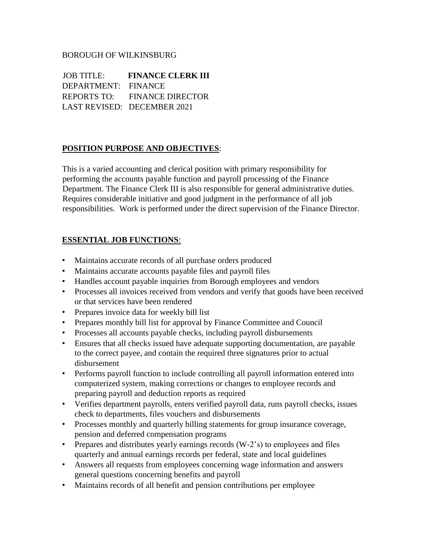## BOROUGH OF WILKINSBURG

JOB TITLE: **FINANCE CLERK III**  DEPARTMENT: FINANCE REPORTS TO: FINANCE DIRECTOR LAST REVISED: DECEMBER 2021

## **POSITION PURPOSE AND OBJECTIVES**:

This is a varied accounting and clerical position with primary responsibility for performing the accounts payable function and payroll processing of the Finance Department. The Finance Clerk III is also responsible for general administrative duties. Requires considerable initiative and good judgment in the performance of all job responsibilities. Work is performed under the direct supervision of the Finance Director.

## **ESSENTIAL JOB FUNCTIONS**:

- Maintains accurate records of all purchase orders produced
- Maintains accurate accounts payable files and payroll files
- Handles account payable inquiries from Borough employees and vendors
- Processes all invoices received from vendors and verify that goods have been received or that services have been rendered
- Prepares invoice data for weekly bill list
- Prepares monthly bill list for approval by Finance Committee and Council
- Processes all accounts payable checks, including payroll disbursements
- Ensures that all checks issued have adequate supporting documentation, are payable to the correct payee, and contain the required three signatures prior to actual disbursement
- Performs payroll function to include controlling all payroll information entered into computerized system, making corrections or changes to employee records and preparing payroll and deduction reports as required
- Verifies department payrolls, enters verified payroll data, runs payroll checks, issues check to departments, files vouchers and disbursements
- Processes monthly and quarterly billing statements for group insurance coverage, pension and deferred compensation programs
- Prepares and distributes yearly earnings records (W-2's) to employees and files quarterly and annual earnings records per federal, state and local guidelines
- Answers all requests from employees concerning wage information and answers general questions concerning benefits and payroll
- Maintains records of all benefit and pension contributions per employee